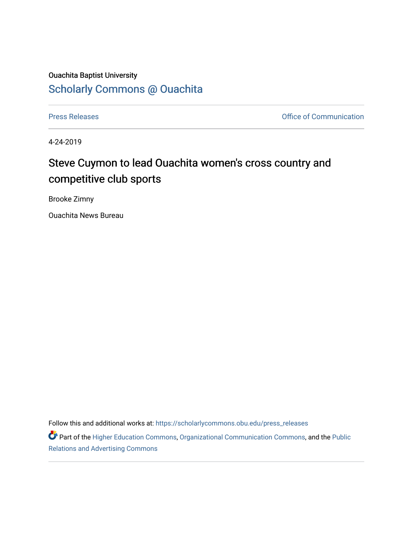## Ouachita Baptist University

## [Scholarly Commons @ Ouachita](https://scholarlycommons.obu.edu/)

[Press Releases](https://scholarlycommons.obu.edu/press_releases) **Press Releases Communication** 

4-24-2019

## Steve Cuymon to lead Ouachita women's cross country and competitive club sports

Brooke Zimny

Ouachita News Bureau

Follow this and additional works at: [https://scholarlycommons.obu.edu/press\\_releases](https://scholarlycommons.obu.edu/press_releases?utm_source=scholarlycommons.obu.edu%2Fpress_releases%2F812&utm_medium=PDF&utm_campaign=PDFCoverPages)

Part of the [Higher Education Commons,](http://network.bepress.com/hgg/discipline/1245?utm_source=scholarlycommons.obu.edu%2Fpress_releases%2F812&utm_medium=PDF&utm_campaign=PDFCoverPages) [Organizational Communication Commons,](http://network.bepress.com/hgg/discipline/335?utm_source=scholarlycommons.obu.edu%2Fpress_releases%2F812&utm_medium=PDF&utm_campaign=PDFCoverPages) and the [Public](http://network.bepress.com/hgg/discipline/336?utm_source=scholarlycommons.obu.edu%2Fpress_releases%2F812&utm_medium=PDF&utm_campaign=PDFCoverPages) [Relations and Advertising Commons](http://network.bepress.com/hgg/discipline/336?utm_source=scholarlycommons.obu.edu%2Fpress_releases%2F812&utm_medium=PDF&utm_campaign=PDFCoverPages)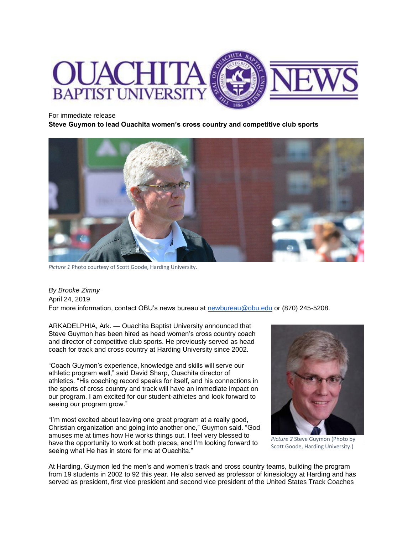

## For immediate release

**Steve Guymon to lead Ouachita women's cross country and competitive club sports**



*Picture 1* Photo courtesy of Scott Goode, Harding University.

*By Brooke Zimny* April 24, 2019 For more information, contact OBU's news bureau at [newbureau@obu.edu](mailto:newbureau@obu.edu) or (870) 245-5208.

ARKADELPHIA, Ark. — Ouachita Baptist University announced that Steve Guymon has been hired as head women's cross country coach and director of competitive club sports. He previously served as head coach for track and cross country at Harding University since 2002.

"Coach Guymon's experience, knowledge and skills will serve our athletic program well," said David Sharp, Ouachita director of athletics. "His coaching record speaks for itself, and his connections in the sports of cross country and track will have an immediate impact on our program. I am excited for our student-athletes and look forward to seeing our program grow."

"I'm most excited about leaving one great program at a really good, Christian organization and going into another one," Guymon said. "God amuses me at times how He works things out. I feel very blessed to have the opportunity to work at both places, and I'm looking forward to seeing what He has in store for me at Ouachita."



*Picture 2* Steve Guymon (Photo by Scott Goode, Harding University.)

At Harding, Guymon led the men's and women's track and cross country teams, building the program from 19 students in 2002 to 92 this year. He also served as professor of kinesiology at Harding and has served as president, first vice president and second vice president of the United States Track Coaches